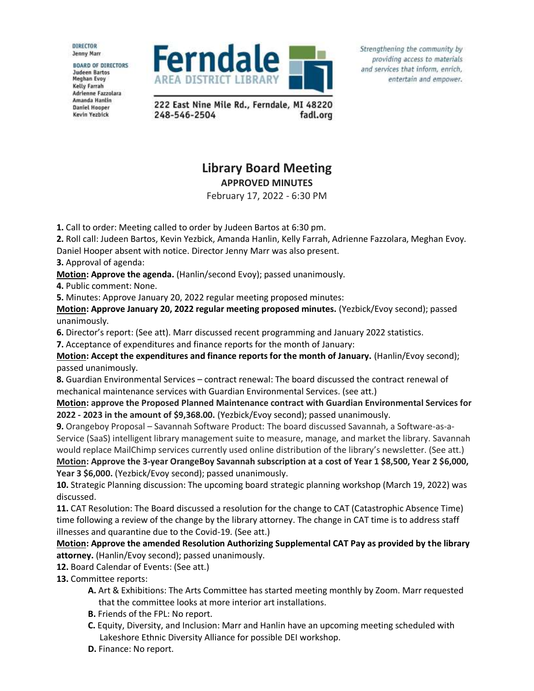**DIRECTOR Jenny Marr** 

**BOARD OF DIRECTORS Judeen Bartos** Meghan Evoy **Kelly Farrah** Adrienne Fazzolara Amanda Hanlin **Daniel Hooper** Kevin Yezbick



Strengthening the community by providing access to materials and services that inform, enrich, entertain and empower.

222 East Nine Mile Rd., Ferndale, MI 48220 248-546-2504 fadl.org

## **Library Board Meeting APPROVED MINUTES**

February 17, 2022 - 6:30 PM

**1.** Call to order: Meeting called to order by Judeen Bartos at 6:30 pm.

**2.** Roll call: Judeen Bartos, Kevin Yezbick, Amanda Hanlin, Kelly Farrah, Adrienne Fazzolara, Meghan Evoy.

Daniel Hooper absent with notice. Director Jenny Marr was also present.

**3.** Approval of agenda:

**Motion: Approve the agenda.** (Hanlin/second Evoy); passed unanimously.

**4.** Public comment: None.

**5.** Minutes: Approve January 20, 2022 regular meeting proposed minutes:

**Motion: Approve January 20, 2022 regular meeting proposed minutes.** (Yezbick/Evoy second); passed unanimously.

**6.** Director's report: (See att). Marr discussed recent programming and January 2022 statistics.

**7.** Acceptance of expenditures and finance reports for the month of January:

**Motion: Accept the expenditures and finance reports for the month of January.** (Hanlin/Evoy second); passed unanimously.

**8.** Guardian Environmental Services – contract renewal: The board discussed the contract renewal of mechanical maintenance services with Guardian Environmental Services. (see att.)

**Motion: approve the Proposed Planned Maintenance contract with Guardian Environmental Services for 2022 - 2023 in the amount of \$9,368.00.** (Yezbick/Evoy second); passed unanimously.

**9.** Orangeboy Proposal – Savannah Software Product: The board discussed Savannah, a Software-as-a-Service (SaaS) intelligent library management suite to measure, manage, and market the library. Savannah would replace MailChimp services currently used online distribution of the library's newsletter. (See att.) **Motion: Approve the 3-year OrangeBoy Savannah subscription at a cost of Year 1 \$8,500, Year 2 \$6,000,** 

**Year 3 \$6,000.** (Yezbick/Evoy second); passed unanimously.

**10.** Strategic Planning discussion: The upcoming board strategic planning workshop (March 19, 2022) was discussed.

**11.** CAT Resolution: The Board discussed a resolution for the change to CAT (Catastrophic Absence Time) time following a review of the change by the library attorney. The change in CAT time is to address staff illnesses and quarantine due to the Covid-19. (See att.)

**Motion: Approve the amended Resolution Authorizing Supplemental CAT Pay as provided by the library attorney.** (Hanlin/Evoy second); passed unanimously.

**12.** Board Calendar of Events: (See att.)

**13.** Committee reports:

- **A.** Art & Exhibitions: The Arts Committee has started meeting monthly by Zoom. Marr requested that the committee looks at more interior art installations.
- **B.** Friends of the FPL: No report.
- **C.** Equity, Diversity, and Inclusion: Marr and Hanlin have an upcoming meeting scheduled with Lakeshore Ethnic Diversity Alliance for possible DEI workshop.
- **D.** Finance: No report.